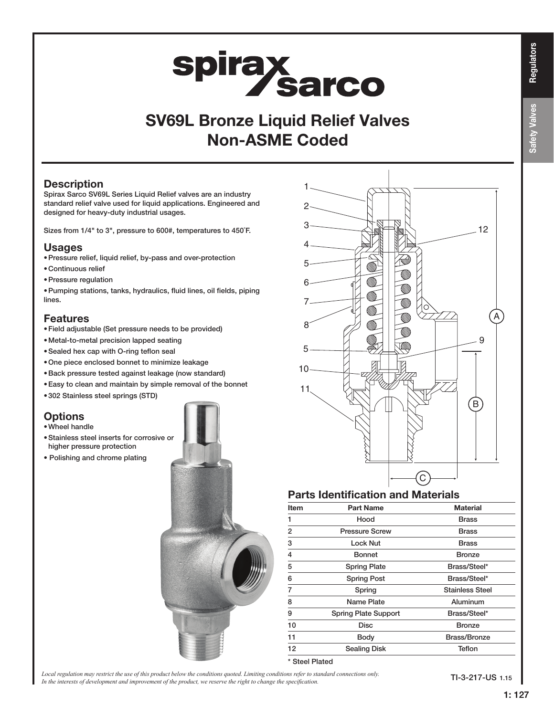# **Safety Valves** Safety Valves

# **spirax sarco**

# SV69L Bronze Liquid Relief Valves Non-ASME Coded

#### **Description**

Spirax Sarco SV69L Series Liquid Relief valves are an industry standard relief valve used for liquid applications. Engineered and designed for heavy-duty industrial usages.

Sizes from 1/4" to 3", pressure to 600#, temperatures to 450˚F.

#### Usages

- •Pressure relief, liquid relief, by-pass and over-protection
- •Continuous relief
- •Pressure regulation
- •Pumping stations, tanks, hydraulics, fluid lines, oil fields, piping lines.

#### Features

- •Field adjustable (Set pressure needs to be provided)
- •Metal-to-metal precision lapped seating
- •Sealed hex cap with O-ring teflon seal
- •One piece enclosed bonnet to minimize leakage
- •Back pressure tested against leakage (now standard)
- Easy to clean and maintain by simple removal of the bonnet
- •302 Stainless steel springs (STD)

#### **Options**

- •Wheel handle
- •Stainless steel inserts for corrosive or higher pressure protection
- Polishing and chrome plating





#### Parts Identification and Materials

| <b>Item</b>    | <b>Part Name</b>            | <b>Material</b>        |
|----------------|-----------------------------|------------------------|
|                | Hood                        | Brass                  |
| $\overline{2}$ | <b>Pressure Screw</b>       | <b>Brass</b>           |
| 3              | <b>Lock Nut</b>             | <b>Brass</b>           |
| 4              | Bonnet                      | <b>Bronze</b>          |
| 5              | <b>Spring Plate</b>         | Brass/Steel*           |
| 6              | <b>Spring Post</b>          | Brass/Steel*           |
| 7              | Spring                      | <b>Stainless Steel</b> |
| 8              | Name Plate                  | Aluminum               |
| 9              | <b>Spring Plate Support</b> | Brass/Steel*           |
| 10             | Disc                        | <b>Bronze</b>          |
| 11             | <b>Body</b>                 | <b>Brass/Bronze</b>    |
| 12             | <b>Sealing Disk</b>         | <b>Teflon</b>          |

*Local regulation may restrict the use of this product below the conditions quoted. Limiting conditions refer to standard connections only.* In the interests of development and improvement of the product, we reserve the right to change the specification.

TI-3-217-US 1.15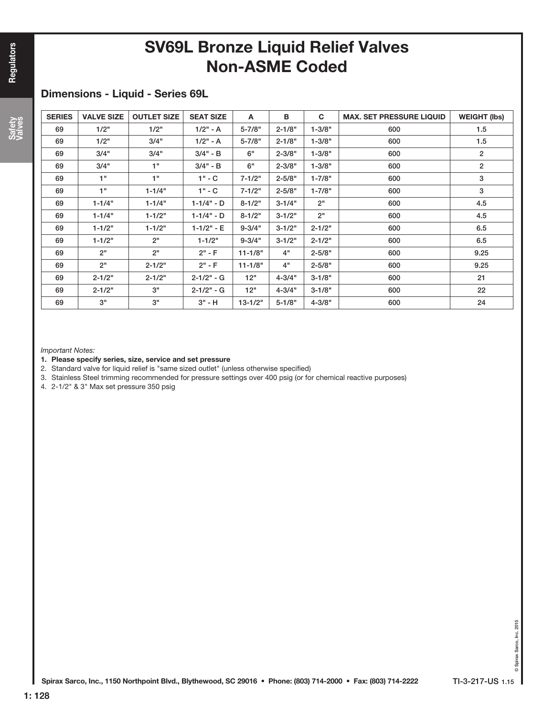# SV69L Bronze Liquid Relief Valves Non-ASME Coded

#### Dimensions - Liquid - Series 69L

| <b>SERIES</b> | <b>VALVE SIZE</b> | <b>OUTLET SIZE</b> | <b>SEAT SIZE</b> | A           | B          | C          | <b>MAX. SET PRESSURE LIQUID</b> | <b>WEIGHT (lbs)</b> |
|---------------|-------------------|--------------------|------------------|-------------|------------|------------|---------------------------------|---------------------|
| 69            | 1/2"              | 1/2"               | $1/2" - A$       | 5-7/8"      | $2 - 1/8"$ | $1 - 3/8"$ | 600                             | 1.5                 |
| 69            | 1/2"              | 3/4"               | $1/2" - A$       | 5-7/8"      | $2 - 1/8"$ | $1 - 3/8"$ | 600                             | 1.5                 |
| 69            | 3/4"              | 3/4"               | $3/4" - B$       | 6"          | $2 - 3/8"$ | $1 - 3/8"$ | 600                             | $\overline{2}$      |
| 69            | 3/4"              | 1"                 | $3/4" - B$       | 6"          | $2 - 3/8"$ | $1 - 3/8"$ | 600                             | $\overline{2}$      |
| 69            | 1"                | 1"                 | $1" - C$         | $7 - 1/2"$  | $2 - 5/8"$ | $1 - 7/8"$ | 600                             | 3                   |
| 69            | 1"                | $1 - 1/4"$         | 1" - C           | $7 - 1/2"$  | $2 - 5/8"$ | $1 - 7/8"$ | 600                             | 3                   |
| 69            | $1 - 1/4"$        | $1 - 1/4"$         | $1 - 1/4" - D$   | $8 - 1/2"$  | $3 - 1/4"$ | 2"         | 600                             | 4.5                 |
| 69            | $1 - 1/4"$        | $1 - 1/2"$         | $1 - 1/4" - D$   | $8 - 1/2"$  | $3 - 1/2"$ | 2"         | 600                             | 4.5                 |
| 69            | $1 - 1/2"$        | $1 - 1/2"$         | $1 - 1/2" - E$   | $9 - 3/4"$  | $3 - 1/2"$ | $2 - 1/2"$ | 600                             | 6.5                 |
| 69            | $1 - 1/2"$        | 2"                 | $1 - 1/2"$       | $9 - 3/4"$  | $3 - 1/2"$ | $2 - 1/2"$ | 600                             | 6.5                 |
| 69            | 2"                | 2"                 | $2" - F$         | $11 - 1/8"$ | 4"         | $2 - 5/8"$ | 600                             | 9.25                |
| 69            | 2"                | $2 - 1/2"$         | $2" - F$         | $11 - 1/8"$ | 4"         | $2 - 5/8"$ | 600                             | 9.25                |
| 69            | $2 - 1/2"$        | $2 - 1/2"$         | $2 - 1/2" - G$   | 12"         | $4 - 3/4"$ | $3 - 1/8"$ | 600                             | 21                  |
| 69            | $2 - 1/2"$        | 3"                 | $2 - 1/2" - G$   | 12"         | $4 - 3/4"$ | $3 - 1/8"$ | 600                             | 22                  |
| 69            | 3"                | 3"                 | $3" - H$         | $13 - 1/2"$ | $5 - 1/8"$ | $4 - 3/8"$ | 600                             | 24                  |

Important Notes:

- 1. Please specify series, size, service and set pressure
- 2. Standard valve for liquid relief is "same sized outlet" (unless otherwise specified)
- 3. Stainless Steel trimming recommended for pressure settings over 400 psig (or for chemical reactive purposes)
- 4. 2-1/2" & 3" Max set pressure 350 psig

Safety Valves Safety Valves

1: 128

© Spirax Sarco, Inc. 2015 © Spirax Sarco, Inc. 2015